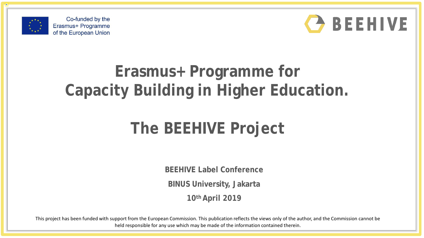



# **Erasmus+ Programme for Capacity Building in Higher Education.**

# **The BEEHIVE Project**

**BEEHIVE Label Conference** 

**BINUS University, Jakarta** 

**10th April 2019**

This project has been funded with support from the European Commission. This publication reflects the views only of the author, and the Commission cannot be held responsible for any use which may be made of the information contained therein.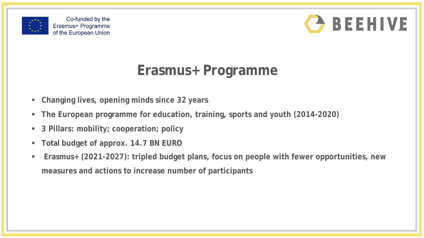



### **Erasmus+ Programme**

- **Changing lives, opening minds since 32 years**
- **The European programme for education, training, sports and youth (2014-2020)**
- **3 Pillars: mobility; cooperation; policy**
- **Total budget of approx. 14.7 BN EURO**
- **Erasmus+ (2021-2027): tripled budget plans, focus on people with fewer opportunities, new measures and actions to increase number of participants**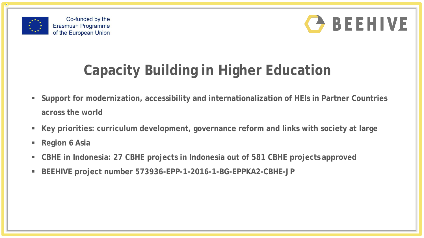



## **Capacity Building in Higher Education**

- **Support for modernization, accessibility and internationalization of HEIs in Partner Countries across the world**
- **Key priorities: curriculum development, governance reform and links with society at large**
- **Region 6 Asia**
- **CBHE in Indonesia: 27 CBHE projects in Indonesia out of 581 CBHE projects approved**
- **BEEHIVE project number 573936-EPP-1-2016-1-BG-EPPKA2-CBHE-JP**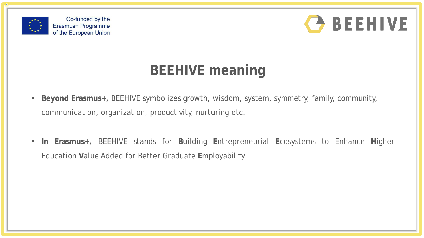



### **BEEHIVE meaning**

- **Beyond Erasmus+,** BEEHIVE symbolizes growth, wisdom, system, symmetry, family, community, communication, organization, productivity, nurturing etc.
- **In Erasmus+,** BEEHIVE stands for **B**uilding **E**ntrepreneurial **E**cosystems to Enhance **Hi**gher Education **V**alue Added for Better Graduate **E**mployability.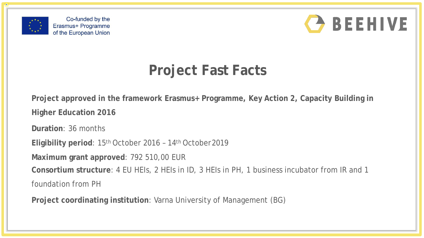



### **Project Fast Facts**

**Project approved in the framework Erasmus+ Programme, Key Action 2, Capacity Building in Higher Education 2016**

**Duration**: 36 months

**Eligibility period**: 15th October 2016 – 14th October2019

**Maximum grant approved**: 792 510,00 EUR

**Consortium structure**: 4 EU HEIs, 2 HEIs in ID, 3 HEIs in PH, 1 business incubator from IR and 1

foundation from PH

**Project coordinating institution**: Varna University of Management (BG)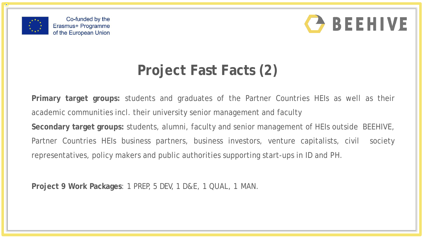



## **Project Fast Facts (2)**

**Primary target groups:** students and graduates of the Partner Countries HEIs as well as their academic communities incl. their university senior management and faculty **Secondary target groups:** students, alumni, faculty and senior management of HEIs outside BEEHIVE, Partner Countries HEIs business partners, business investors, venture capitalists, civil society representatives, policy makers and public authorities supporting start-ups in ID and PH.

**Project 9 Work Packages**: 1 PREP, 5 DEV, 1 D&E, 1 QUAL, 1 MAN.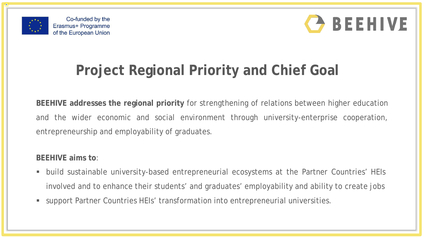



## **Project Regional Priority and Chief Goal**

**BEEHIVE addresses the regional priority** for strengthening of relations between higher education and the wider economic and social environment through university-enterprise cooperation, entrepreneurship and employability of graduates.

#### **BEEHIVE aims to**:

- build sustainable university-based entrepreneurial ecosystems at the Partner Countries' HEIs involved and to enhance their students' and graduates' employability and ability to create jobs
- support Partner Countries HEIs' transformation into entrepreneurial universities.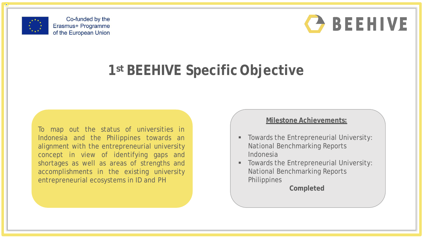



#### **1st BEEHIVE Specific Objective**

To map out the status of universities in Indonesia and the Philippines towards an alignment with the entrepreneurial university concept in view of identifying gaps and shortages as well as areas of strengths and accomplishments in the existing university entrepreneurial ecosystems in ID and PH

#### **Milestone Achievements:**

- Towards the Entrepreneurial University: National Benchmarking Reports Indonesia
- **Towards the Entrepreneurial University:** National Benchmarking Reports **Philippines**

**Completed**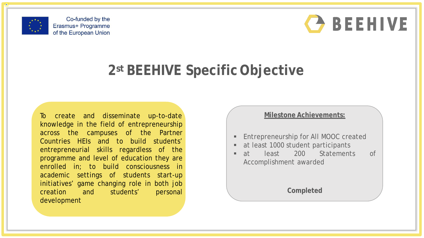

Co-funded by the Erasmus+ Programme of the European Union



#### **2st BEEHIVE Specific Objective**

To create and disseminate up-to-date knowledge in the field of entrepreneurship across the campuses of the Partner Countries HEIs and to build students' entrepreneurial skills regardless of the programme and level of education they are enrolled in; to build consciousness in academic settings of students start-up initiatives' game changing role in both job creation and students' personal development

#### **Milestone Achievements:**

- **Entrepreneurship for All MOOC created**
- at least 1000 student participants
- **at** least 200 Statements of Accomplishment awarded

**Completed**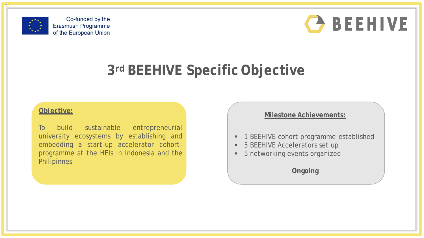





### **3rd BEEHIVE Specific Objective**

#### **Objective:**

To build sustainable entrepreneurial university ecosystems by establishing and embedding a start-up accelerator cohortprogramme at the HEIs in Indonesia and the **Philipinnes** 

#### **Milestone Achievements:**

- **1 BEEHIVE cohort programme established**
- 5 BEEHIVE Accelerators set up
- **5 networking events organized**

**Ongoing**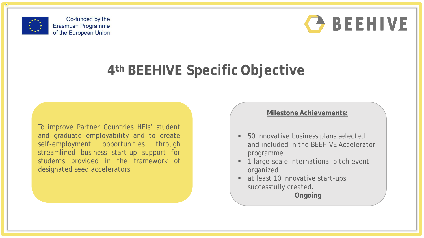

Co-funded by the Erasmus+ Programme of the European Union



### **4th BEEHIVE Specific Objective**

To improve Partner Countries HEIs' student and graduate employability and to create self-employment opportunities through streamlined business start-up support for students provided in the framework of designated seed accelerators

#### **Milestone Achievements:**

- 50 innovative business plans selected and included in the BEEHIVE Accelerator programme
- 1 large-scale international pitch event organized
- at least 10 innovative start-ups successfully created.

**Ongoing**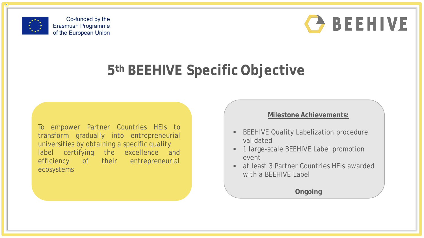



### **5th BEEHIVE Specific Objective**

To empower Partner Countries HEIs to transform gradually into entrepreneurial universities by obtaining a specific quality label certifying the excellence and their entrepreneurial efficiency of ecosystems

#### **Milestone Achievements:**

- **BEEHIVE Quality Labelization procedure** validated
- **1 large-scale BEEHIVE Label promotion** event
- at least 3 Partner Countries HEIs awarded with a BEEHIVE Label

**Ongoing**